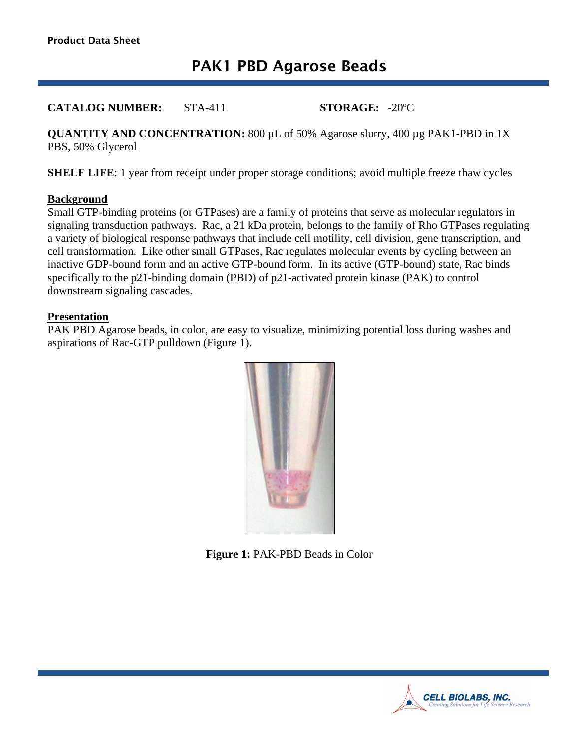# PAK1 PBD Agarose Beads

**CATALOG NUMBER:** STA-411 **STORAGE:** -20ºC

**QUANTITY AND CONCENTRATION:** 800 µL of 50% Agarose slurry, 400 µg PAK1-PBD in 1X PBS, 50% Glycerol

**SHELF LIFE:** 1 year from receipt under proper storage conditions; avoid multiple freeze thaw cycles

#### **Background**

Small GTP-binding proteins (or GTPases) are a family of proteins that serve as molecular regulators in signaling transduction pathways. Rac, a 21 kDa protein, belongs to the family of Rho GTPases regulating a variety of biological response pathways that include cell motility, cell division, gene transcription, and cell transformation. Like other small GTPases, Rac regulates molecular events by cycling between an inactive GDP-bound form and an active GTP-bound form. In its active (GTP-bound) state, Rac binds specifically to the p21-binding domain (PBD) of p21-activated protein kinase (PAK) to control downstream signaling cascades.

#### **Presentation**

PAK PBD Agarose beads, in color, are easy to visualize, minimizing potential loss during washes and aspirations of Rac-GTP pulldown (Figure 1).



**Figure 1:** PAK-PBD Beads in Color

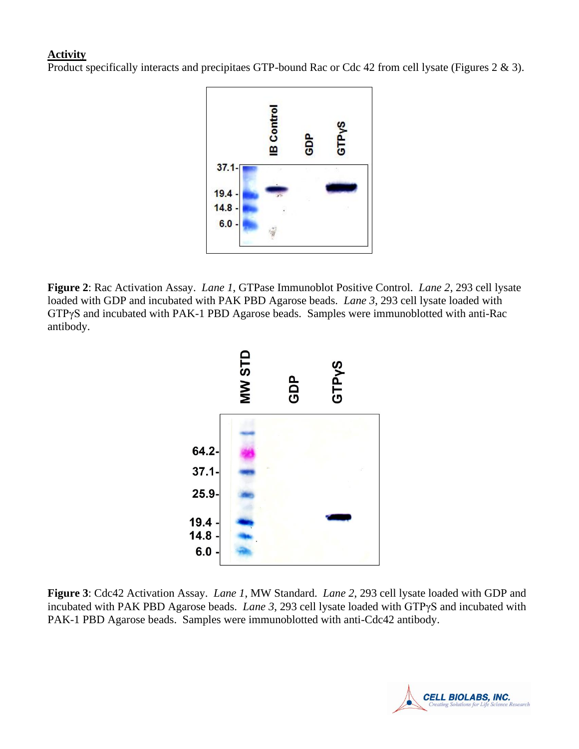## **Activity**

Product specifically interacts and precipitaes GTP-bound Rac or Cdc 42 from cell lysate (Figures 2 & 3).



**Figure 2**: Rac Activation Assay. *Lane 1*, GTPase Immunoblot Positive Control. *Lane 2*, 293 cell lysate loaded with GDP and incubated with PAK PBD Agarose beads. *Lane 3*, 293 cell lysate loaded with GTPγS and incubated with PAK-1 PBD Agarose beads. Samples were immunoblotted with anti-Rac antibody.



**Figure 3**: Cdc42 Activation Assay. *Lane 1*, MW Standard. *Lane 2*, 293 cell lysate loaded with GDP and incubated with PAK PBD Agarose beads. *Lane 3*, 293 cell lysate loaded with GTPγS and incubated with PAK-1 PBD Agarose beads. Samples were immunoblotted with anti-Cdc42 antibody.

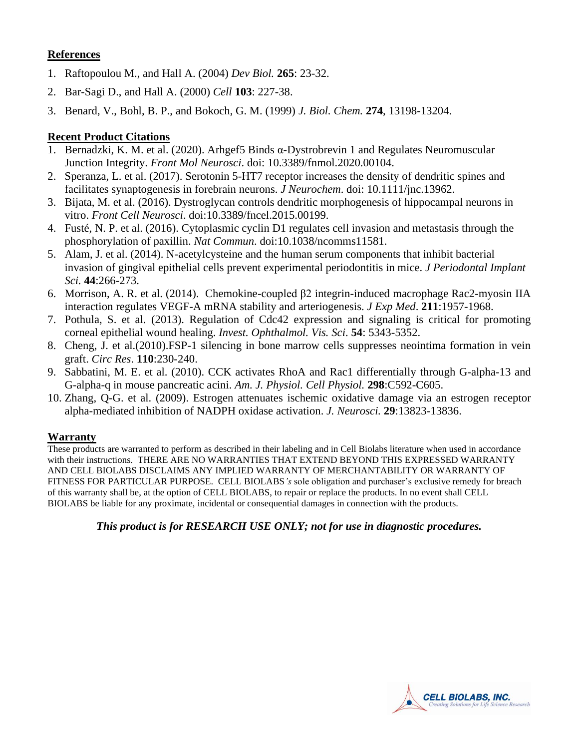## **References**

- 1. [Raftopoulou M.](http://www.ncbi.nlm.nih.gov/entrez/query.fcgi?db=pubmed&cmd=Search&term=%22Raftopoulou+M%22%5BAuthor%5D), and [Hall A.](http://www.ncbi.nlm.nih.gov/entrez/query.fcgi?db=pubmed&cmd=Search&term=%22Hall+A%22%5BAuthor%5D) (2004) *Dev Biol.* **265**: 23-32.
- 2. [Bar-Sagi D.](http://www.ncbi.nlm.nih.gov/entrez/query.fcgi?db=pubmed&cmd=Search&term=%22Bar%2DSagi+D%22%5BAuthor%5D), and [Hall A.](http://www.ncbi.nlm.nih.gov/entrez/query.fcgi?db=pubmed&cmd=Search&term=%22Hall+A%22%5BAuthor%5D) (2000) *Cell* **103**: 227-38.
- 3. Benard, V., Bohl, B. P., and Bokoch, G. M. (1999) *J. Biol. Chem.* **274**, 13198-13204.

## **Recent Product Citations**

- 1. Bernadzki, K. M. et al. (2020). Arhgef5 Binds α-Dystrobrevin 1 and Regulates Neuromuscular Junction Integrity. *Front Mol Neurosci*. doi: 10.3389/fnmol.2020.00104.
- 2. Speranza, L. et al. (2017). Serotonin 5-HT7 receptor increases the density of dendritic spines and facilitates synaptogenesis in forebrain neurons. *J Neurochem*. doi: 10.1111/jnc.13962.
- 3. Bijata, M. et al. (2016). Dystroglycan controls dendritic morphogenesis of hippocampal neurons in vitro. *Front Cell Neurosci*. doi:10.3389/fncel.2015.00199.
- 4. Fusté, N. P. et al. (2016). Cytoplasmic cyclin D1 regulates cell invasion and metastasis through the phosphorylation of paxillin. *Nat Commun*. doi:10.1038/ncomms11581.
- 5. Alam, J. et al. (2014). N-acetylcysteine and the human serum components that inhibit bacterial invasion of gingival epithelial cells prevent experimental periodontitis in mice. *J Periodontal Implant Sci.* **44**:266-273.
- 6. Morrison, A. R. et al. (2014). Chemokine-coupled β2 integrin-induced macrophage Rac2-myosin IIA interaction regulates VEGF-A mRNA stability and arteriogenesis. *J Exp Med*. **211**:1957-1968.
- 7. Pothula, S. et al. (2013). Regulation of Cdc42 expression and signaling is critical for promoting corneal epithelial wound healing. *Invest. Ophthalmol. Vis. Sci*. **54**: 5343-5352.
- 8. Cheng, J. et al.(2010).FSP-1 silencing in bone marrow cells suppresses neointima formation in vein graft. *Circ Res*. **110**:230-240.
- 9. Sabbatini, M. E. et al. (2010). CCK activates RhoA and Rac1 differentially through G-alpha-13 and G-alpha-q in mouse pancreatic acini. *Am. J. Physiol. Cell Physiol.* **298**:C592-C605.
- 10. Zhang, Q-G. et al. (2009). Estrogen attenuates ischemic oxidative damage via an estrogen receptor alpha-mediated inhibition of NADPH oxidase activation. *J. Neurosci.* **29**:13823-13836.

#### **Warranty**

These products are warranted to perform as described in their labeling and in Cell Biolabs literature when used in accordance with their instructions. THERE ARE NO WARRANTIES THAT EXTEND BEYOND THIS EXPRESSED WARRANTY AND CELL BIOLABS DISCLAIMS ANY IMPLIED WARRANTY OF MERCHANTABILITY OR WARRANTY OF FITNESS FOR PARTICULAR PURPOSE. CELL BIOLABS*'s* sole obligation and purchaser's exclusive remedy for breach of this warranty shall be, at the option of CELL BIOLABS, to repair or replace the products. In no event shall CELL BIOLABS be liable for any proximate, incidental or consequential damages in connection with the products.

*This product is for RESEARCH USE ONLY; not for use in diagnostic procedures.*